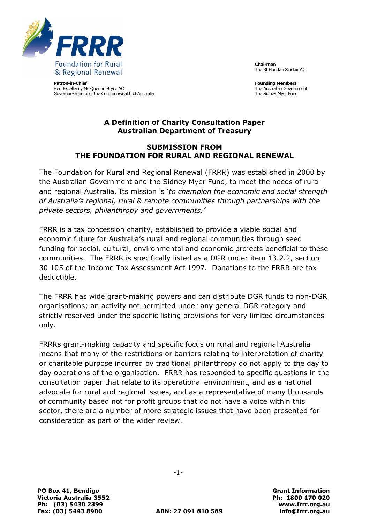

**Patron-in-Chief** Her Excellency Ms Quentin Bryce AC Governor-General of the Commonwealth of Australia **Chairman** The Rt Hon Ian Sinclair AC

**Founding Members** The Australian Government The Sidney Myer Fund

### **A Definition of Charity Consultation Paper Australian Department of Treasury**

#### **SUBMISSION FROM THE FOUNDATION FOR RURAL AND REGIONAL RENEWAL**

The Foundation for Rural and Regional Renewal (FRRR) was established in 2000 by the Australian Government and the Sidney Myer Fund, to meet the needs of rural and regional Australia. Its mission is "*to champion the economic and social strength of Australia's regional, rural & remote communities through partnerships with the private sectors, philanthropy and governments.'*

FRRR is a tax concession charity, established to provide a viable social and economic future for Australia"s rural and regional communities through seed funding for social, cultural, environmental and economic projects beneficial to these communities. The FRRR is specifically listed as a DGR under item 13.2.2, section 30 105 of the Income Tax Assessment Act 1997. Donations to the FRRR are tax deductible.

The FRRR has wide grant-making powers and can distribute DGR funds to non-DGR organisations; an activity not permitted under any general DGR category and strictly reserved under the specific listing provisions for very limited circumstances only.

FRRRs grant-making capacity and specific focus on rural and regional Australia means that many of the restrictions or barriers relating to interpretation of charity or charitable purpose incurred by traditional philanthropy do not apply to the day to day operations of the organisation. FRRR has responded to specific questions in the consultation paper that relate to its operational environment, and as a national advocate for rural and regional issues, and as a representative of many thousands of community based not for profit groups that do not have a voice within this sector, there are a number of more strategic issues that have been presented for consideration as part of the wider review.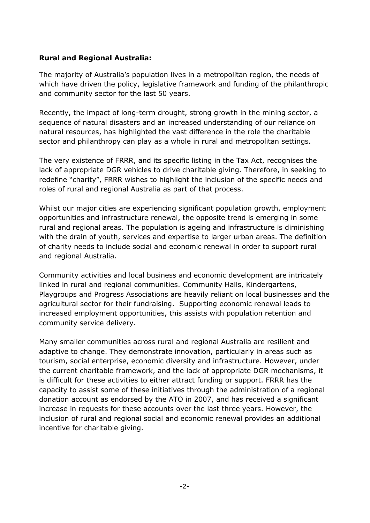# **Rural and Regional Australia:**

The majority of Australia"s population lives in a metropolitan region, the needs of which have driven the policy, legislative framework and funding of the philanthropic and community sector for the last 50 years.

Recently, the impact of long-term drought, strong growth in the mining sector, a sequence of natural disasters and an increased understanding of our reliance on natural resources, has highlighted the vast difference in the role the charitable sector and philanthropy can play as a whole in rural and metropolitan settings.

The very existence of FRRR, and its specific listing in the Tax Act, recognises the lack of appropriate DGR vehicles to drive charitable giving. Therefore, in seeking to redefine "charity", FRRR wishes to highlight the inclusion of the specific needs and roles of rural and regional Australia as part of that process.

Whilst our major cities are experiencing significant population growth, employment opportunities and infrastructure renewal, the opposite trend is emerging in some rural and regional areas. The population is ageing and infrastructure is diminishing with the drain of youth, services and expertise to larger urban areas. The definition of charity needs to include social and economic renewal in order to support rural and regional Australia.

Community activities and local business and economic development are intricately linked in rural and regional communities. Community Halls, Kindergartens, Playgroups and Progress Associations are heavily reliant on local businesses and the agricultural sector for their fundraising. Supporting economic renewal leads to increased employment opportunities, this assists with population retention and community service delivery.

Many smaller communities across rural and regional Australia are resilient and adaptive to change. They demonstrate innovation, particularly in areas such as tourism, social enterprise, economic diversity and infrastructure. However, under the current charitable framework, and the lack of appropriate DGR mechanisms, it is difficult for these activities to either attract funding or support. FRRR has the capacity to assist some of these initiatives through the administration of a regional donation account as endorsed by the ATO in 2007, and has received a significant increase in requests for these accounts over the last three years. However, the inclusion of rural and regional social and economic renewal provides an additional incentive for charitable giving.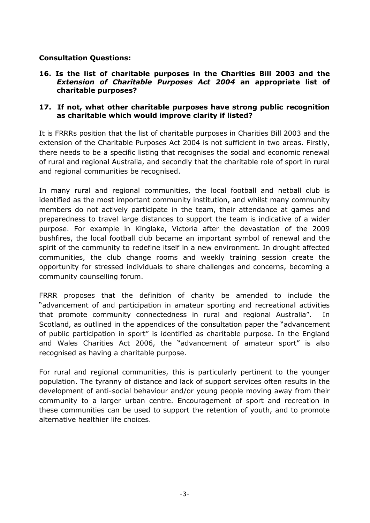# **Consultation Questions:**

**16. Is the list of charitable purposes in the Charities Bill 2003 and the**  *Extension of Charitable Purposes Act 2004* **an appropriate list of charitable purposes?** 

#### **17. If not, what other charitable purposes have strong public recognition as charitable which would improve clarity if listed?**

It is FRRRs position that the list of charitable purposes in Charities Bill 2003 and the extension of the Charitable Purposes Act 2004 is not sufficient in two areas. Firstly, there needs to be a specific listing that recognises the social and economic renewal of rural and regional Australia, and secondly that the charitable role of sport in rural and regional communities be recognised.

In many rural and regional communities, the local football and netball club is identified as the most important community institution, and whilst many community members do not actively participate in the team, their attendance at games and preparedness to travel large distances to support the team is indicative of a wider purpose. For example in Kinglake, Victoria after the devastation of the 2009 bushfires, the local football club became an important symbol of renewal and the spirit of the community to redefine itself in a new environment. In drought affected communities, the club change rooms and weekly training session create the opportunity for stressed individuals to share challenges and concerns, becoming a community counselling forum.

FRRR proposes that the definition of charity be amended to include the "advancement of and participation in amateur sporting and recreational activities that promote community connectedness in rural and regional Australia". In Scotland, as outlined in the appendices of the consultation paper the "advancement of public participation in sport" is identified as charitable purpose. In the England and Wales Charities Act 2006, the "advancement of amateur sport" is also recognised as having a charitable purpose.

For rural and regional communities, this is particularly pertinent to the younger population. The tyranny of distance and lack of support services often results in the development of anti-social behaviour and/or young people moving away from their community to a larger urban centre. Encouragement of sport and recreation in these communities can be used to support the retention of youth, and to promote alternative healthier life choices.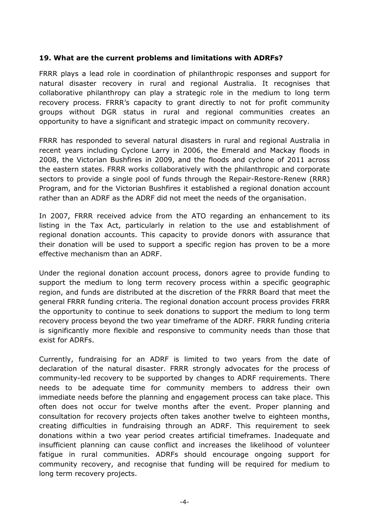### **19. What are the current problems and limitations with ADRFs?**

FRRR plays a lead role in coordination of philanthropic responses and support for natural disaster recovery in rural and regional Australia. It recognises that collaborative philanthropy can play a strategic role in the medium to long term recovery process. FRRR"s capacity to grant directly to not for profit community groups without DGR status in rural and regional communities creates an opportunity to have a significant and strategic impact on community recovery.

FRRR has responded to several natural disasters in rural and regional Australia in recent years including Cyclone Larry in 2006, the Emerald and Mackay floods in 2008, the Victorian Bushfires in 2009, and the floods and cyclone of 2011 across the eastern states. FRRR works collaboratively with the philanthropic and corporate sectors to provide a single pool of funds through the Repair-Restore-Renew (RRR) Program, and for the Victorian Bushfires it established a regional donation account rather than an ADRF as the ADRF did not meet the needs of the organisation.

In 2007, FRRR received advice from the ATO regarding an enhancement to its listing in the Tax Act, particularly in relation to the use and establishment of regional donation accounts. This capacity to provide donors with assurance that their donation will be used to support a specific region has proven to be a more effective mechanism than an ADRF.

Under the regional donation account process, donors agree to provide funding to support the medium to long term recovery process within a specific geographic region, and funds are distributed at the discretion of the FRRR Board that meet the general FRRR funding criteria. The regional donation account process provides FRRR the opportunity to continue to seek donations to support the medium to long term recovery process beyond the two year timeframe of the ADRF. FRRR funding criteria is significantly more flexible and responsive to community needs than those that exist for ADRFs.

Currently, fundraising for an ADRF is limited to two years from the date of declaration of the natural disaster. FRRR strongly advocates for the process of community-led recovery to be supported by changes to ADRF requirements. There needs to be adequate time for community members to address their own immediate needs before the planning and engagement process can take place. This often does not occur for twelve months after the event. Proper planning and consultation for recovery projects often takes another twelve to eighteen months, creating difficulties in fundraising through an ADRF. This requirement to seek donations within a two year period creates artificial timeframes. Inadequate and insufficient planning can cause conflict and increases the likelihood of volunteer fatigue in rural communities. ADRFs should encourage ongoing support for community recovery, and recognise that funding will be required for medium to long term recovery projects.